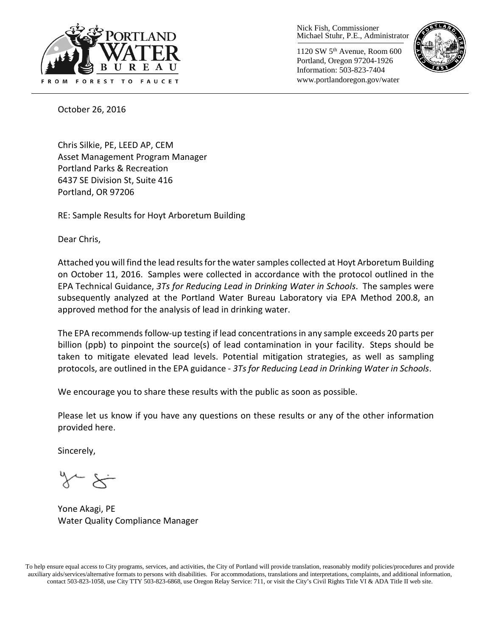

Nick Fish, Commissioner Michael Stuhr, P.E., Administrator

1120 SW 5th Avenue, Room 600 Portland, Oregon 97204-1926 Information: 503-823-7404 www.portlandoregon.gov/water



October 26, 2016

Chris Silkie, PE, LEED AP, CEM Asset Management Program Manager Portland Parks & Recreation 6437 SE Division St, Suite 416 Portland, OR 97206

RE: Sample Results for Hoyt Arboretum Building

Dear Chris,

Attached you will find the lead results forthe water samples collected at Hoyt Arboretum Building on October 11, 2016. Samples were collected in accordance with the protocol outlined in the EPA Technical Guidance, *3Ts for Reducing Lead in Drinking Water in Schools*. The samples were subsequently analyzed at the Portland Water Bureau Laboratory via EPA Method 200.8, an approved method for the analysis of lead in drinking water.

The EPA recommends follow-up testing if lead concentrations in any sample exceeds 20 parts per billion (ppb) to pinpoint the source(s) of lead contamination in your facility. Steps should be taken to mitigate elevated lead levels. Potential mitigation strategies, as well as sampling protocols, are outlined in the EPA guidance - *3Ts for Reducing Lead in Drinking Water in Schools*.

We encourage you to share these results with the public as soon as possible.

Please let us know if you have any questions on these results or any of the other information provided here.

Sincerely,

Yone Akagi, PE Water Quality Compliance Manager

To help ensure equal access to City programs, services, and activities, the City of Portland will provide translation, reasonably modify policies/procedures and provide auxiliary aids/services/alternative formats to persons with disabilities. For accommodations, translations and interpretations, complaints, and additional information, contact 503-823-1058, use City TTY 503-823-6868, use Oregon Relay Service: 711, or visi[t the City's Civil Rights Title VI & ADA Title II web site.](http://www.portlandoregon.gov/oehr/66458)